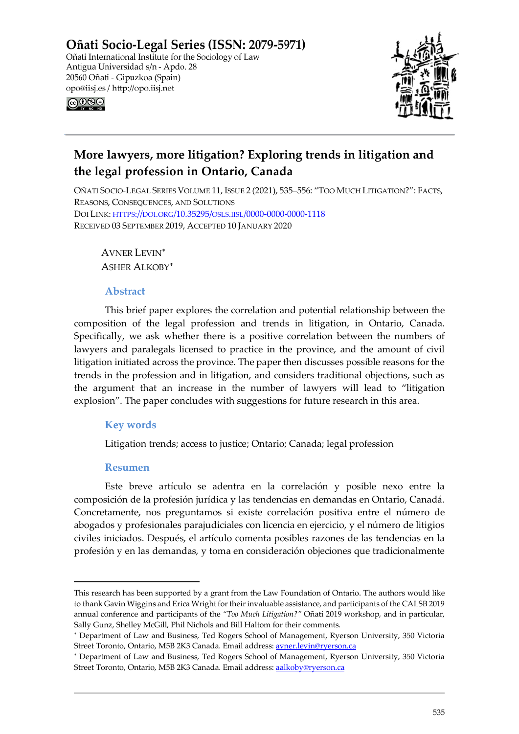Oñati Socio-Legal Series (ISSN: 2079-5971) Oñati International Institute for the Sociology of Law Antigua Universidad s/n - Apdo. 28 20560 Oñati - Gipuzkoa (Spain) opo@iisj.es / http://opo.iisj.net



# ெ⊛ெ

# **More lawyers, more litigation? Exploring trends in litigation and the legal profession in Ontario, Canada**

OÑATI SOCIO-LEGAL SERIES VOLUME 11, ISSUE 2 (2021), 535–556: "TOO MUCH LITIGATION?": FACTS, REASONS, CONSEQUENCES, AND SOLUTIONS DOI LINK: [HTTPS://DOI.ORG/10.35295/OSLS.IISL/0000-0000-0000-1118](https://doi.org/10.35295/osls.iisl/0000-0000-0000-1118) RECEIVED 03 SEPTEMBER 2019, ACCEPTED 10 JANUARY 2020

AVNER LEVIN[∗](#page-0-0) ASHER ALKOBY[∗](#page-0-1)

# **Abstract**

This brief paper explores the correlation and potential relationship between the composition of the legal profession and trends in litigation, in Ontario, Canada. Specifically, we ask whether there is a positive correlation between the numbers of lawyers and paralegals licensed to practice in the province, and the amount of civil litigation initiated across the province. The paper then discusses possible reasons for the trends in the profession and in litigation, and considers traditional objections, such as the argument that an increase in the number of lawyers will lead to "litigation explosion". The paper concludes with suggestions for future research in this area.

# **Key words**

Litigation trends; access to justice; Ontario; Canada; legal profession

# **Resumen**

Este breve artículo se adentra en la correlación y posible nexo entre la composición de la profesión jurídica y las tendencias en demandas en Ontario, Canadá. Concretamente, nos preguntamos si existe correlación positiva entre el número de abogados y profesionales parajudiciales con licencia en ejercicio, y el número de litigios civiles iniciados. Después, el artículo comenta posibles razones de las tendencias en la profesión y en las demandas, y toma en consideración objeciones que tradicionalmente

<span id="page-0-0"></span>This research has been supported by a grant from the Law Foundation of Ontario. The authors would like to thank Gavin Wiggins and Erica Wright for their invaluable assistance, and participants of the CALSB 2019 annual conference and participants of the *"Too Much Litigation?"* Oñati 2019 workshop, and in particular, Sally Gunz, Shelley McGill, Phil Nichols and Bill Haltom for their comments.

<sup>∗</sup> Department of Law and Business, Ted Rogers School of Management, Ryerson University, 350 Victoria Street Toronto, Ontario, M5B 2K3 Canada. Email address[: avner.levin@ryerson.ca](mailto:avner.levin@ryerson.ca)

<span id="page-0-1"></span><sup>∗</sup> Department of Law and Business, Ted Rogers School of Management, Ryerson University, 350 Victoria Street Toronto, Ontario, M5B 2K3 Canada. Email address[: aalkoby@ryerson.ca](mailto:aalkoby@ryerson.ca)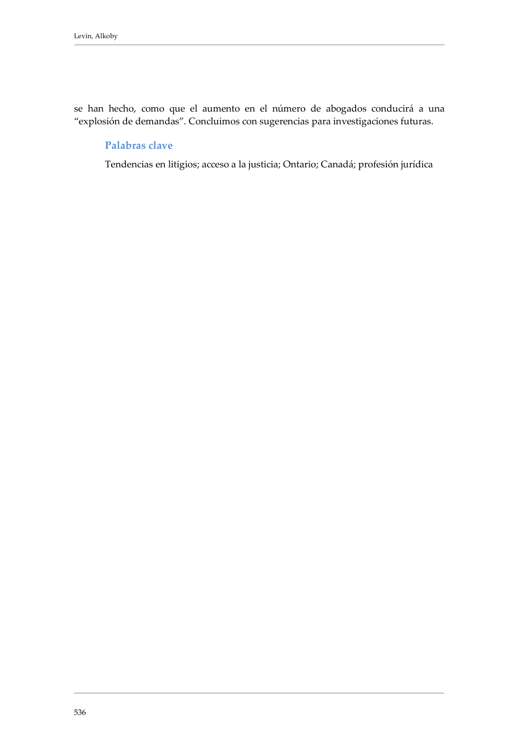se han hecho, como que el aumento en el número de abogados conducirá a una "explosión de demandas". Concluimos con sugerencias para investigaciones futuras.

### **Palabras clave**

Tendencias en litigios; acceso a la justicia; Ontario; Canadá; profesión jurídica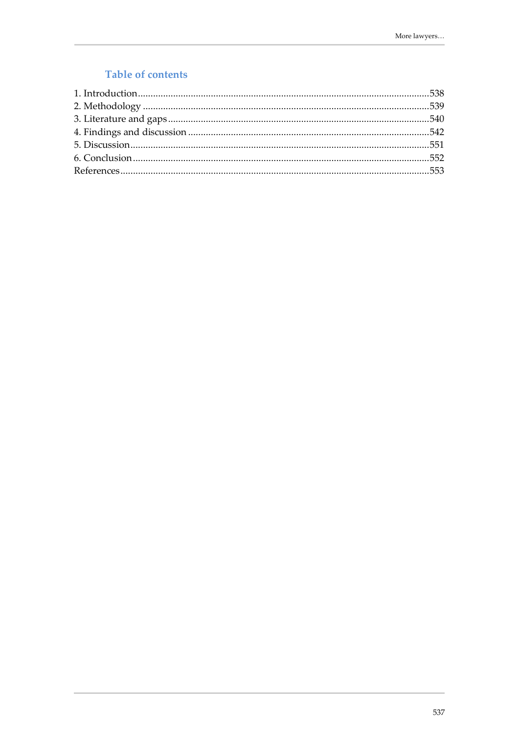# Table of contents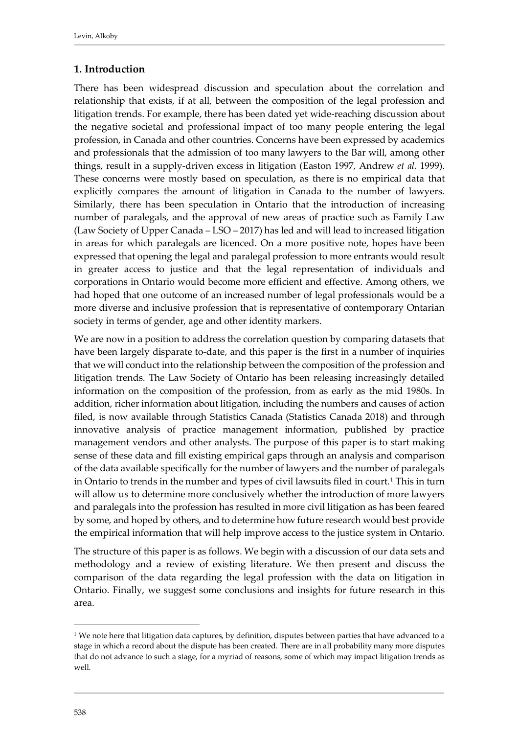# <span id="page-3-0"></span>**1. Introduction**

There has been widespread discussion and speculation about the correlation and relationship that exists, if at all, between the composition of the legal profession and litigation trends. For example, there has been dated yet wide-reaching discussion about the negative societal and professional impact of too many people entering the legal profession, in Canada and other countries. Concerns have been expressed by academics and professionals that the admission of too many lawyers to the Bar will, among other things, result in a supply-driven excess in litigation (Easton 1997, Andrew *et al.* 1999). These concerns were mostly based on speculation, as there is no empirical data that explicitly compares the amount of litigation in Canada to the number of lawyers. Similarly, there has been speculation in Ontario that the introduction of increasing number of paralegals, and the approval of new areas of practice such as Family Law (Law Society of Upper Canada – LSO – 2017) has led and will lead to increased litigation in areas for which paralegals are licenced. On a more positive note, hopes have been expressed that opening the legal and paralegal profession to more entrants would result in greater access to justice and that the legal representation of individuals and corporations in Ontario would become more efficient and effective. Among others, we had hoped that one outcome of an increased number of legal professionals would be a more diverse and inclusive profession that is representative of contemporary Ontarian society in terms of gender, age and other identity markers.

We are now in a position to address the correlation question by comparing datasets that have been largely disparate to-date, and this paper is the first in a number of inquiries that we will conduct into the relationship between the composition of the profession and litigation trends. The Law Society of Ontario has been releasing increasingly detailed information on the composition of the profession, from as early as the mid 1980s. In addition, richer information about litigation, including the numbers and causes of action filed, is now available through Statistics Canada (Statistics Canada 2018) and through innovative analysis of practice management information, published by practice management vendors and other analysts. The purpose of this paper is to start making sense of these data and fill existing empirical gaps through an analysis and comparison of the data available specifically for the number of lawyers and the number of paralegals in Ontario to trends in the number and types of civil lawsuits filed in court.<sup>[1](#page-3-1)</sup> This in turn will allow us to determine more conclusively whether the introduction of more lawyers and paralegals into the profession has resulted in more civil litigation as has been feared by some, and hoped by others, and to determine how future research would best provide the empirical information that will help improve access to the justice system in Ontario.

The structure of this paper is as follows. We begin with a discussion of our data sets and methodology and a review of existing literature. We then present and discuss the comparison of the data regarding the legal profession with the data on litigation in Ontario. Finally, we suggest some conclusions and insights for future research in this area.

<span id="page-3-1"></span> $1$  We note here that litigation data captures, by definition, disputes between parties that have advanced to a stage in which a record about the dispute has been created. There are in all probability many more disputes that do not advance to such a stage, for a myriad of reasons, some of which may impact litigation trends as well.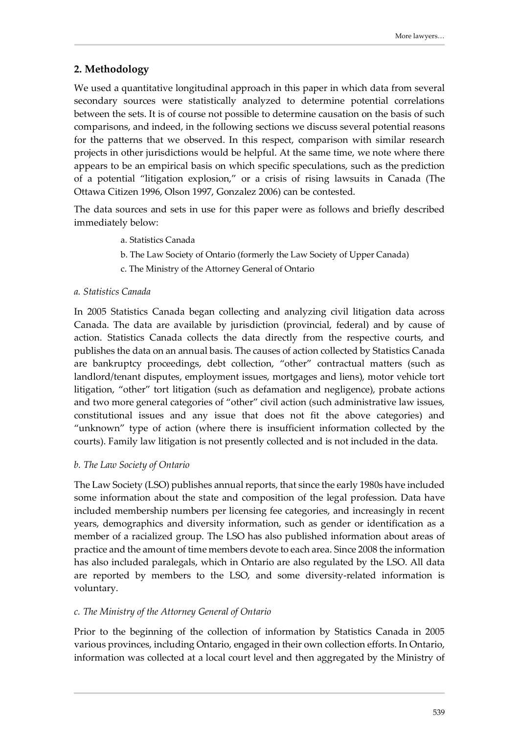# <span id="page-4-0"></span>**2. Methodology**

We used a quantitative longitudinal approach in this paper in which data from several secondary sources were statistically analyzed to determine potential correlations between the sets. It is of course not possible to determine causation on the basis of such comparisons, and indeed, in the following sections we discuss several potential reasons for the patterns that we observed. In this respect, comparison with similar research projects in other jurisdictions would be helpful. At the same time, we note where there appears to be an empirical basis on which specific speculations, such as the prediction of a potential "litigation explosion," or a crisis of rising lawsuits in Canada (The Ottawa Citizen 1996, Olson 1997, Gonzalez 2006) can be contested.

The data sources and sets in use for this paper were as follows and briefly described immediately below:

- a. Statistics Canada
- b. The Law Society of Ontario (formerly the Law Society of Upper Canada)
- c. The Ministry of the Attorney General of Ontario

### *a. Statistics Canada*

In 2005 Statistics Canada began collecting and analyzing civil litigation data across Canada. The data are available by jurisdiction (provincial, federal) and by cause of action. Statistics Canada collects the data directly from the respective courts, and publishes the data on an annual basis. The causes of action collected by Statistics Canada are bankruptcy proceedings, debt collection, "other" contractual matters (such as landlord/tenant disputes, employment issues, mortgages and liens), motor vehicle tort litigation, "other" tort litigation (such as defamation and negligence), probate actions and two more general categories of "other" civil action (such administrative law issues, constitutional issues and any issue that does not fit the above categories) and "unknown" type of action (where there is insufficient information collected by the courts). Family law litigation is not presently collected and is not included in the data.

#### *b. The Law Society of Ontario*

The Law Society (LSO) publishes annual reports, that since the early 1980s have included some information about the state and composition of the legal profession. Data have included membership numbers per licensing fee categories, and increasingly in recent years, demographics and diversity information, such as gender or identification as a member of a racialized group. The LSO has also published information about areas of practice and the amount of time members devote to each area. Since 2008 the information has also included paralegals, which in Ontario are also regulated by the LSO. All data are reported by members to the LSO, and some diversity-related information is voluntary.

#### *c. The Ministry of the Attorney General of Ontario*

Prior to the beginning of the collection of information by Statistics Canada in 2005 various provinces, including Ontario, engaged in their own collection efforts. In Ontario, information was collected at a local court level and then aggregated by the Ministry of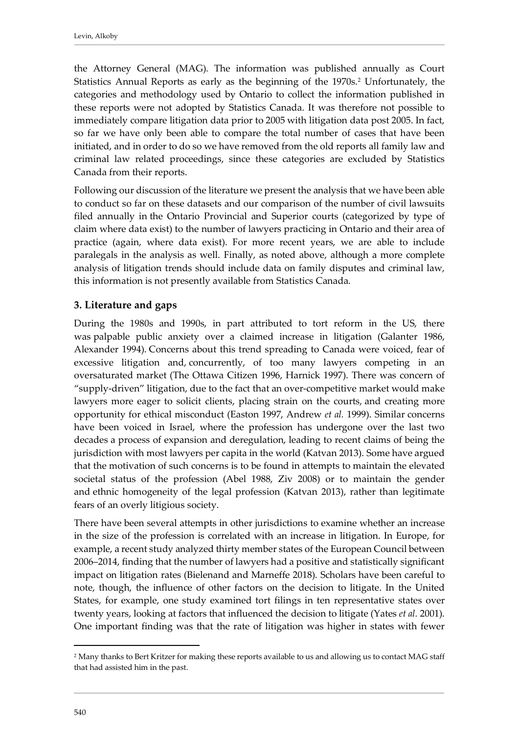the Attorney General (MAG). The information was published annually as Court Statistics Annual Reports as early as the beginning of the 1970s.<sup>[2](#page-5-1)</sup> Unfortunately, the categories and methodology used by Ontario to collect the information published in these reports were not adopted by Statistics Canada. It was therefore not possible to immediately compare litigation data prior to 2005 with litigation data post 2005. In fact, so far we have only been able to compare the total number of cases that have been initiated, and in order to do so we have removed from the old reports all family law and criminal law related proceedings, since these categories are excluded by Statistics Canada from their reports.

Following our discussion of the literature we present the analysis that we have been able to conduct so far on these datasets and our comparison of the number of civil lawsuits filed annually in the Ontario Provincial and Superior courts (categorized by type of claim where data exist) to the number of lawyers practicing in Ontario and their area of practice (again, where data exist). For more recent years, we are able to include paralegals in the analysis as well. Finally, as noted above, although a more complete analysis of litigation trends should include data on family disputes and criminal law, this information is not presently available from Statistics Canada.

# <span id="page-5-0"></span>**3. Literature and gaps**

During the 1980s and 1990s, in part attributed to tort reform in the US, there was palpable public anxiety over a claimed increase in litigation (Galanter 1986, Alexander 1994). Concerns about this trend spreading to Canada were voiced, fear of excessive litigation and, concurrently, of too many lawyers competing in an oversaturated market (The Ottawa Citizen 1996, Harnick 1997). There was concern of "supply-driven" litigation, due to the fact that an over-competitive market would make lawyers more eager to solicit clients, placing strain on the courts, and creating more opportunity for ethical misconduct (Easton 1997, Andrew *et al.* 1999). Similar concerns have been voiced in Israel, where the profession has undergone over the last two decades a process of expansion and deregulation, leading to recent claims of being the jurisdiction with most lawyers per capita in the world (Katvan 2013). Some have argued that the motivation of such concerns is to be found in attempts to maintain the elevated societal status of the profession (Abel 1988, Ziv 2008) or to maintain the gender and ethnic homogeneity of the legal profession (Katvan 2013), rather than legitimate fears of an overly litigious society.

There have been several attempts in other jurisdictions to examine whether an increase in the size of the profession is correlated with an increase in litigation. In Europe, for example, a recent study analyzed thirty member states of the European Council between 2006–2014, finding that the number of lawyers had a positive and statistically significant impact on litigation rates (Bielenand and Marneffe 2018). Scholars have been careful to note, though, the influence of other factors on the decision to litigate. In the United States, for example, one study examined tort filings in ten representative states over twenty years, looking at factors that influenced the decision to litigate (Yates *et al.* 2001). One important finding was that the rate of litigation was higher in states with fewer

<span id="page-5-1"></span><sup>2</sup> Many thanks to Bert Kritzer for making these reports available to us and allowing us to contact MAG staff that had assisted him in the past.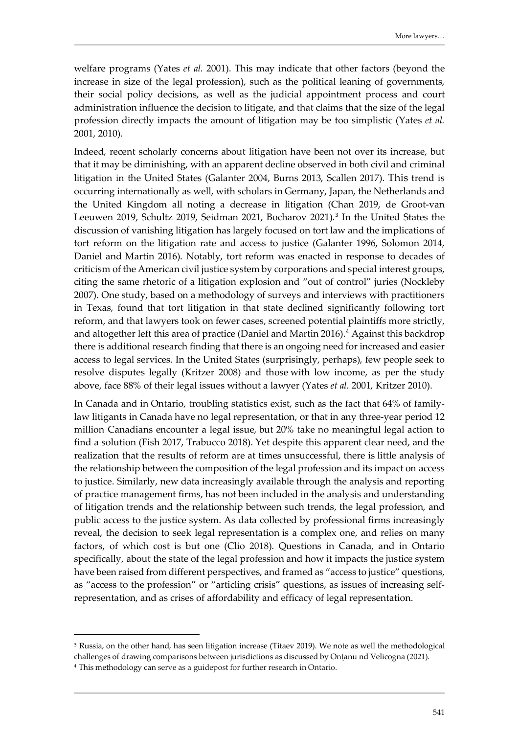welfare programs (Yates *et al.* 2001). This may indicate that other factors (beyond the increase in size of the legal profession), such as the political leaning of governments, their social policy decisions, as well as the judicial appointment process and court administration influence the decision to litigate, and that claims that the size of the legal profession directly impacts the amount of litigation may be too simplistic (Yates *et al.* 2001, 2010).

Indeed, recent scholarly concerns about litigation have been not over its increase, but that it may be diminishing, with an apparent decline observed in both civil and criminal litigation in the United States (Galanter 2004, Burns 2013, Scallen 2017). This trend is occurring internationally as well, with scholars in Germany, Japan, the Netherlands and the United Kingdom all noting a decrease in litigation (Chan 2019, de Groot-van Leeuwen 2019, Schultz 2019, Seidman 2021, Bocharov 2021).<sup>[3](#page-6-0)</sup> In the United States the discussion of vanishing litigation has largely focused on tort law and the implications of tort reform on the litigation rate and access to justice (Galanter 1996, Solomon 2014, Daniel and Martin 2016). Notably, tort reform was enacted in response to decades of criticism of the American civil justice system by corporations and special interest groups, citing the same rhetoric of a litigation explosion and "out of control" juries (Nockleby 2007). One study, based on a methodology of surveys and interviews with practitioners in Texas, found that tort litigation in that state declined significantly following tort reform, and that lawyers took on fewer cases, screened potential plaintiffs more strictly, and altogether left this area of practice (Daniel and Martin 2016).<sup>[4](#page-6-1)</sup> Against this backdrop there is additional research finding that there is an ongoing need for increased and easier access to legal services. In the United States (surprisingly, perhaps), few people seek to resolve disputes legally (Kritzer 2008) and those with low income, as per the study above, face 88% of their legal issues without a lawyer (Yates *et al.* 2001, Kritzer 2010).

In Canada and in Ontario, troubling statistics exist, such as the fact that 64% of familylaw litigants in Canada have no legal representation, or that in any three-year period 12 million Canadians encounter a legal issue, but 20% take no meaningful legal action to find a solution (Fish 2017, Trabucco 2018). Yet despite this apparent clear need, and the realization that the results of reform are at times unsuccessful, there is little analysis of the relationship between the composition of the legal profession and its impact on access to justice. Similarly, new data increasingly available through the analysis and reporting of practice management firms, has not been included in the analysis and understanding of litigation trends and the relationship between such trends, the legal profession, and public access to the justice system. As data collected by professional firms increasingly reveal, the decision to seek legal representation is a complex one, and relies on many factors, of which cost is but one (Clio 2018). Questions in Canada, and in Ontario specifically, about the state of the legal profession and how it impacts the justice system have been raised from different perspectives, and framed as "access to justice" questions, as "access to the profession" or "articling crisis" questions, as issues of increasing selfrepresentation, and as crises of affordability and efficacy of legal representation.

<span id="page-6-0"></span><sup>3</sup> Russia, on the other hand, has seen litigation increase (Titaev 2019). We note as well the methodological challenges of drawing comparisons between jurisdictions as discussed by Onţanu nd Velicogna (2021).

<span id="page-6-1"></span><sup>4</sup> This methodology can serve as a guidepost for further research in Ontario.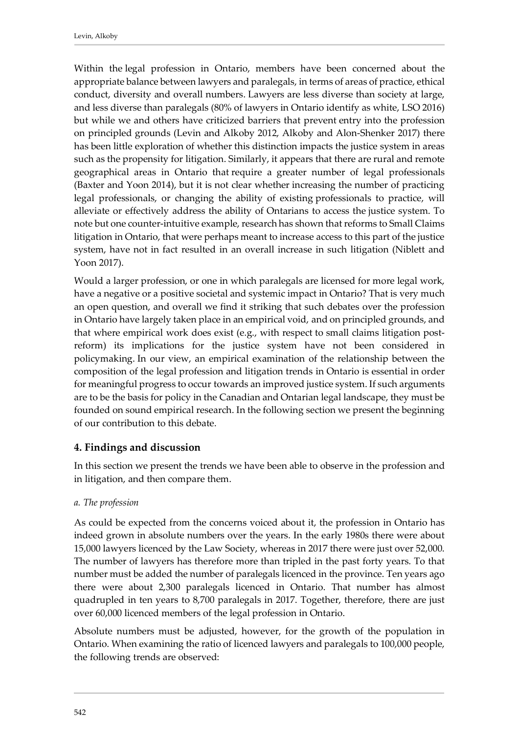Within the legal profession in Ontario, members have been concerned about the appropriate balance between lawyers and paralegals, in terms of areas of practice, ethical conduct, diversity and overall numbers. Lawyers are less diverse than society at large, and less diverse than paralegals (80% of lawyers in Ontario identify as white, LSO 2016) but while we and others have criticized barriers that prevent entry into the profession on principled grounds (Levin and Alkoby 2012, Alkoby and Alon-Shenker 2017) there has been little exploration of whether this distinction impacts the justice system in areas such as the propensity for litigation. Similarly, it appears that there are rural and remote geographical areas in Ontario that require a greater number of legal professionals (Baxter and Yoon 2014), but it is not clear whether increasing the number of practicing legal professionals, or changing the ability of existing professionals to practice, will alleviate or effectively address the ability of Ontarians to access the justice system. To note but one counter-intuitive example, research has shown that reforms to Small Claims litigation in Ontario, that were perhaps meant to increase access to this part of the justice system, have not in fact resulted in an overall increase in such litigation (Niblett and Yoon 2017).

Would a larger profession, or one in which paralegals are licensed for more legal work, have a negative or a positive societal and systemic impact in Ontario? That is very much an open question, and overall we find it striking that such debates over the profession in Ontario have largely taken place in an empirical void, and on principled grounds, and that where empirical work does exist (e.g., with respect to small claims litigation postreform) its implications for the justice system have not been considered in policymaking. In our view, an empirical examination of the relationship between the composition of the legal profession and litigation trends in Ontario is essential in order for meaningful progress to occur towards an improved justice system. If such arguments are to be the basis for policy in the Canadian and Ontarian legal landscape, they must be founded on sound empirical research. In the following section we present the beginning of our contribution to this debate.

# <span id="page-7-0"></span>**4. Findings and discussion**

In this section we present the trends we have been able to observe in the profession and in litigation, and then compare them.

# *a. The profession*

As could be expected from the concerns voiced about it, the profession in Ontario has indeed grown in absolute numbers over the years. In the early 1980s there were about 15,000 lawyers licenced by the Law Society, whereas in 2017 there were just over 52,000. The number of lawyers has therefore more than tripled in the past forty years. To that number must be added the number of paralegals licenced in the province. Ten years ago there were about 2,300 paralegals licenced in Ontario. That number has almost quadrupled in ten years to 8,700 paralegals in 2017. Together, therefore, there are just over 60,000 licenced members of the legal profession in Ontario.

Absolute numbers must be adjusted, however, for the growth of the population in Ontario. When examining the ratio of licenced lawyers and paralegals to 100,000 people, the following trends are observed: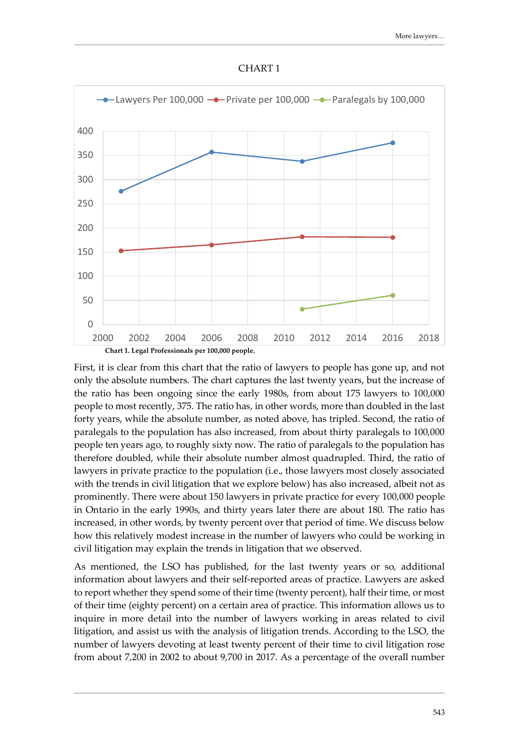



First, it is clear from this chart that the ratio of lawyers to people has gone up, and not only the absolute numbers. The chart captures the last twenty years, but the increase of the ratio has been ongoing since the early 1980s, from about 175 lawyers to 100,000 people to most recently, 375. The ratio has, in other words, more than doubled in the last forty years, while the absolute number, as noted above, has tripled. Second, the ratio of paralegals to the population has also increased, from about thirty paralegals to 100,000 people ten years ago, to roughly sixty now. The ratio of paralegals to the population has therefore doubled, while their absolute number almost quadrupled. Third, the ratio of lawyers in private practice to the population (i.e., those lawyers most closely associated with the trends in civil litigation that we explore below) has also increased, albeit not as prominently. There were about 150 lawyers in private practice for every 100,000 people in Ontario in the early 1990s, and thirty years later there are about 180. The ratio has increased, in other words, by twenty percent over that period of time. We discuss below how this relatively modest increase in the number of lawyers who could be working in civil litigation may explain the trends in litigation that we observed.

As mentioned, the LSO has published, for the last twenty years or so, additional information about lawyers and their self-reported areas of practice. Lawyers are asked to report whether they spend some of their time (twenty percent), half their time, or most of their time (eighty percent) on a certain area of practice. This information allows us to inquire in more detail into the number of lawyers working in areas related to civil litigation, and assist us with the analysis of litigation trends. According to the LSO, the number of lawyers devoting at least twenty percent of their time to civil litigation rose from about 7,200 in 2002 to about 9,700 in 2017. As a percentage of the overall number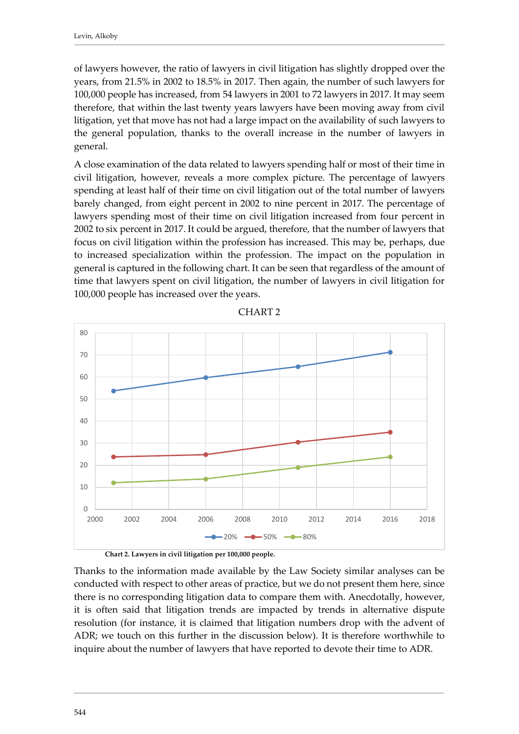of lawyers however, the ratio of lawyers in civil litigation has slightly dropped over the years, from 21.5% in 2002 to 18.5% in 2017. Then again, the number of such lawyers for 100,000 people has increased, from 54 lawyers in 2001 to 72 lawyers in 2017. It may seem therefore, that within the last twenty years lawyers have been moving away from civil litigation, yet that move has not had a large impact on the availability of such lawyers to the general population, thanks to the overall increase in the number of lawyers in general.

A close examination of the data related to lawyers spending half or most of their time in civil litigation, however, reveals a more complex picture. The percentage of lawyers spending at least half of their time on civil litigation out of the total number of lawyers barely changed, from eight percent in 2002 to nine percent in 2017. The percentage of lawyers spending most of their time on civil litigation increased from four percent in 2002 to six percent in 2017. It could be argued, therefore, that the number of lawyers that focus on civil litigation within the profession has increased. This may be, perhaps, due to increased specialization within the profession. The impact on the population in general is captured in the following chart. It can be seen that regardless of the amount of time that lawyers spent on civil litigation, the number of lawyers in civil litigation for 100,000 people has increased over the years.



CHART 2

**Chart 2. Lawyers in civil litigation per 100,000 people.**

Thanks to the information made available by the Law Society similar analyses can be conducted with respect to other areas of practice, but we do not present them here, since there is no corresponding litigation data to compare them with. Anecdotally, however, it is often said that litigation trends are impacted by trends in alternative dispute resolution (for instance, it is claimed that litigation numbers drop with the advent of ADR; we touch on this further in the discussion below). It is therefore worthwhile to inquire about the number of lawyers that have reported to devote their time to ADR.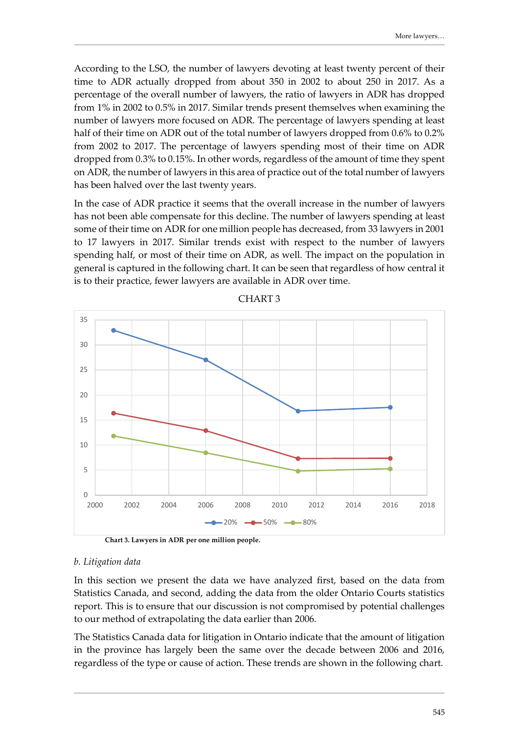According to the LSO, the number of lawyers devoting at least twenty percent of their time to ADR actually dropped from about 350 in 2002 to about 250 in 2017. As a percentage of the overall number of lawyers, the ratio of lawyers in ADR has dropped from 1% in 2002 to 0.5% in 2017. Similar trends present themselves when examining the number of lawyers more focused on ADR. The percentage of lawyers spending at least half of their time on ADR out of the total number of lawyers dropped from 0.6% to 0.2% from 2002 to 2017. The percentage of lawyers spending most of their time on ADR dropped from 0.3% to 0.15%. In other words, regardless of the amount of time they spent on ADR, the number of lawyers in this area of practice out of the total number of lawyers has been halved over the last twenty years.

In the case of ADR practice it seems that the overall increase in the number of lawyers has not been able compensate for this decline. The number of lawyers spending at least some of their time on ADR for one million people has decreased, from 33 lawyers in 2001 to 17 lawyers in 2017. Similar trends exist with respect to the number of lawyers spending half, or most of their time on ADR, as well. The impact on the population in general is captured in the following chart. It can be seen that regardless of how central it is to their practice, fewer lawyers are available in ADR over time.



CHART 3

**Chart 3. Lawyers in ADR per one million people.**

#### *b. Litigation data*

In this section we present the data we have analyzed first, based on the data from Statistics Canada, and second, adding the data from the older Ontario Courts statistics report. This is to ensure that our discussion is not compromised by potential challenges to our method of extrapolating the data earlier than 2006.

The Statistics Canada data for litigation in Ontario indicate that the amount of litigation in the province has largely been the same over the decade between 2006 and 2016, regardless of the type or cause of action. These trends are shown in the following chart.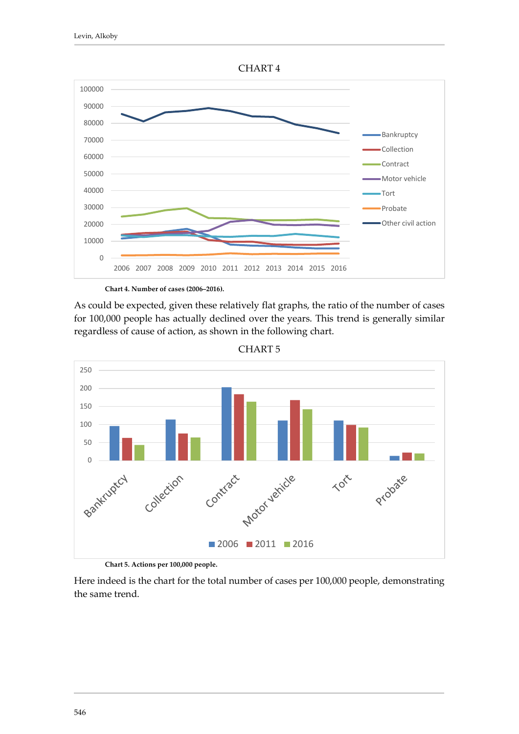

**Chart 4. Number of cases (2006–2016).**

As could be expected, given these relatively flat graphs, the ratio of the number of cases for 100,000 people has actually declined over the years. This trend is generally similar regardless of cause of action, as shown in the following chart.



CHART 5

**Chart 5. Actions per 100,000 people.**

Here indeed is the chart for the total number of cases per 100,000 people, demonstrating the same trend.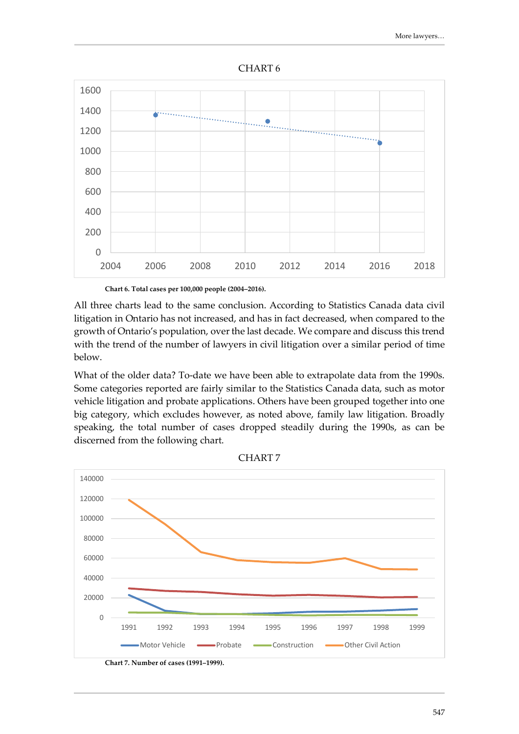



**Chart 6. Total cases per 100,000 people (2004–2016).**

All three charts lead to the same conclusion. According to Statistics Canada data civil litigation in Ontario has not increased, and has in fact decreased, when compared to the growth of Ontario's population, over the last decade. We compare and discuss this trend with the trend of the number of lawyers in civil litigation over a similar period of time below.

What of the older data? To-date we have been able to extrapolate data from the 1990s. Some categories reported are fairly similar to the Statistics Canada data, such as motor vehicle litigation and probate applications. Others have been grouped together into one big category, which excludes however, as noted above, family law litigation. Broadly speaking, the total number of cases dropped steadily during the 1990s, as can be discerned from the following chart.



CHART 7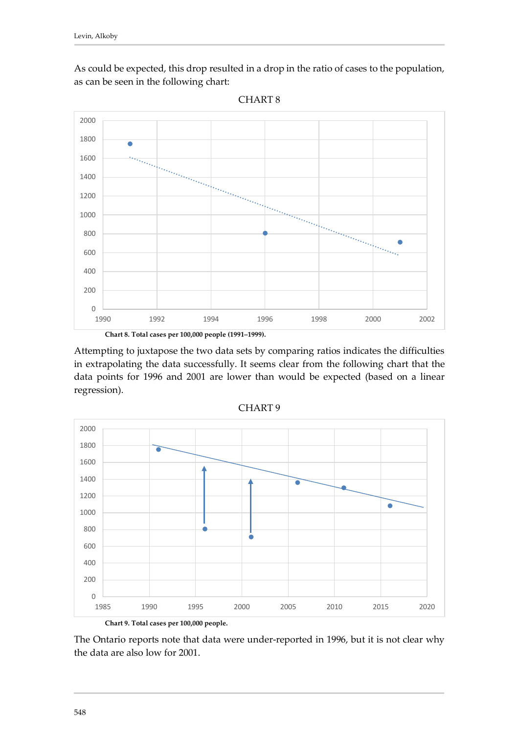As could be expected, this drop resulted in a drop in the ratio of cases to the population, as can be seen in the following chart:



CHART 8

Attempting to juxtapose the two data sets by comparing ratios indicates the difficulties in extrapolating the data successfully. It seems clear from the following chart that the data points for 1996 and 2001 are lower than would be expected (based on a linear regression).



CHART 9

The Ontario reports note that data were under-reported in 1996, but it is not clear why the data are also low for 2001.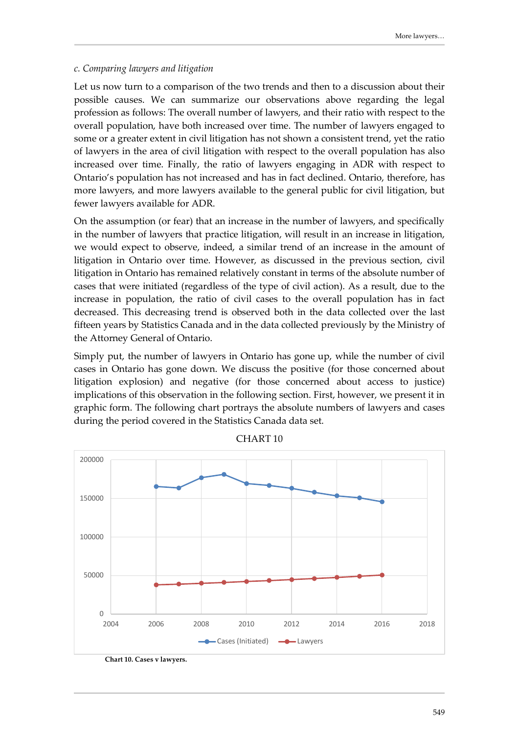#### *c. Comparing lawyers and litigation*

Let us now turn to a comparison of the two trends and then to a discussion about their possible causes. We can summarize our observations above regarding the legal profession as follows: The overall number of lawyers, and their ratio with respect to the overall population, have both increased over time. The number of lawyers engaged to some or a greater extent in civil litigation has not shown a consistent trend, yet the ratio of lawyers in the area of civil litigation with respect to the overall population has also increased over time. Finally, the ratio of lawyers engaging in ADR with respect to Ontario's population has not increased and has in fact declined. Ontario, therefore, has more lawyers, and more lawyers available to the general public for civil litigation, but fewer lawyers available for ADR.

On the assumption (or fear) that an increase in the number of lawyers, and specifically in the number of lawyers that practice litigation, will result in an increase in litigation, we would expect to observe, indeed, a similar trend of an increase in the amount of litigation in Ontario over time. However, as discussed in the previous section, civil litigation in Ontario has remained relatively constant in terms of the absolute number of cases that were initiated (regardless of the type of civil action). As a result, due to the increase in population, the ratio of civil cases to the overall population has in fact decreased. This decreasing trend is observed both in the data collected over the last fifteen years by Statistics Canada and in the data collected previously by the Ministry of the Attorney General of Ontario.

Simply put, the number of lawyers in Ontario has gone up, while the number of civil cases in Ontario has gone down. We discuss the positive (for those concerned about litigation explosion) and negative (for those concerned about access to justice) implications of this observation in the following section. First, however, we present it in graphic form. The following chart portrays the absolute numbers of lawyers and cases during the period covered in the Statistics Canada data set.



CHART 10

**Chart 10. Cases v lawyers.**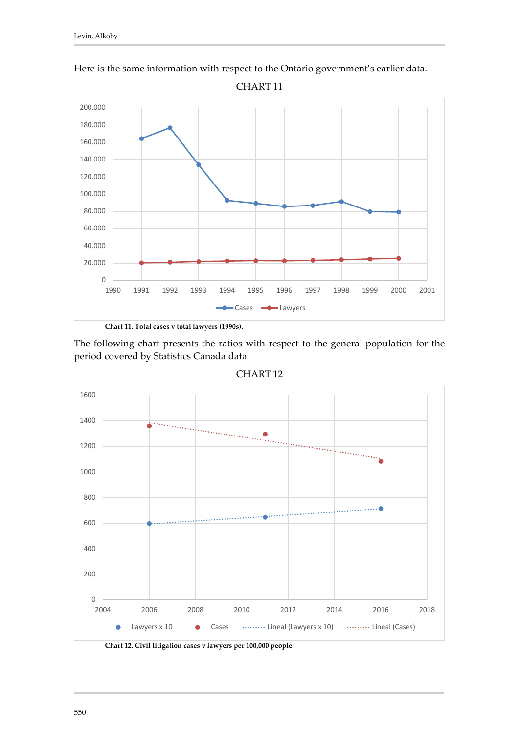

Here is the same information with respect to the Ontario government's earlier data.

**Chart 11. Total cases v total lawyers (1990s).**

The following chart presents the ratios with respect to the general population for the period covered by Statistics Canada data.



CHART 12

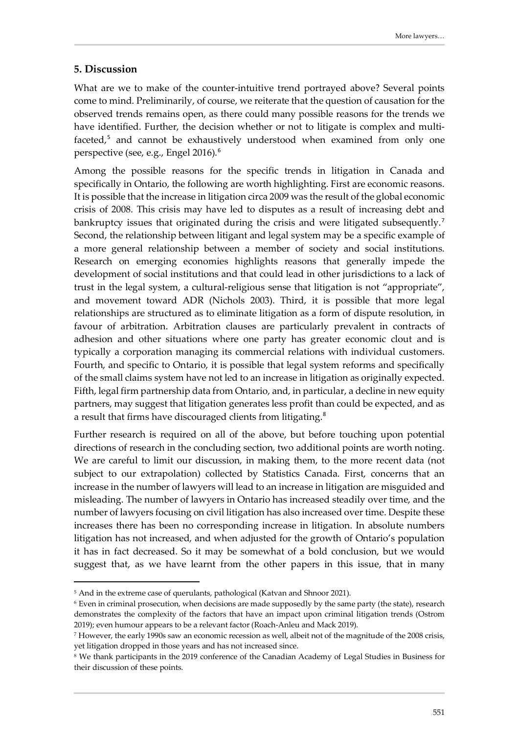#### <span id="page-16-0"></span>**5. Discussion**

What are we to make of the counter-intuitive trend portrayed above? Several points come to mind. Preliminarily, of course, we reiterate that the question of causation for the observed trends remains open, as there could many possible reasons for the trends we have identified. Further, the decision whether or not to litigate is complex and multi-faceted,<sup>[5](#page-16-1)</sup> and cannot be exhaustively understood when examined from only one perspective (see, e.g., Engel 2016).[6](#page-16-2)

Among the possible reasons for the specific trends in litigation in Canada and specifically in Ontario, the following are worth highlighting. First are economic reasons. It is possible that the increase in litigation circa 2009 was the result of the global economic crisis of 2008. This crisis may have led to disputes as a result of increasing debt and bankruptcy issues that originated during the crisis and were litigated subsequently.<sup>[7](#page-16-3)</sup> Second, the relationship between litigant and legal system may be a specific example of a more general relationship between a member of society and social institutions. Research on emerging economies highlights reasons that generally impede the development of social institutions and that could lead in other jurisdictions to a lack of trust in the legal system, a cultural-religious sense that litigation is not "appropriate", and movement toward ADR (Nichols 2003). Third, it is possible that more legal relationships are structured as to eliminate litigation as a form of dispute resolution, in favour of arbitration. Arbitration clauses are particularly prevalent in contracts of adhesion and other situations where one party has greater economic clout and is typically a corporation managing its commercial relations with individual customers. Fourth, and specific to Ontario, it is possible that legal system reforms and specifically of the small claims system have not led to an increase in litigation as originally expected. Fifth, legal firm partnership data from Ontario, and, in particular, a decline in new equity partners, may suggest that litigation generates less profit than could be expected, and as a result that firms have discouraged clients from litigating.<sup>[8](#page-16-4)</sup>

Further research is required on all of the above, but before touching upon potential directions of research in the concluding section, two additional points are worth noting. We are careful to limit our discussion, in making them, to the more recent data (not subject to our extrapolation) collected by Statistics Canada. First, concerns that an increase in the number of lawyers will lead to an increase in litigation are misguided and misleading. The number of lawyers in Ontario has increased steadily over time, and the number of lawyers focusing on civil litigation has also increased over time. Despite these increases there has been no corresponding increase in litigation. In absolute numbers litigation has not increased, and when adjusted for the growth of Ontario's population it has in fact decreased. So it may be somewhat of a bold conclusion, but we would suggest that, as we have learnt from the other papers in this issue, that in many

<span id="page-16-1"></span><sup>&</sup>lt;sup>5</sup> And in the extreme case of querulants, pathological (Katvan and Shnoor 2021).

<span id="page-16-2"></span><sup>6</sup> Even in criminal prosecution, when decisions are made supposedly by the same party (the state), research demonstrates the complexity of the factors that have an impact upon criminal litigation trends (Ostrom 2019); even humour appears to be a relevant factor (Roach-Anleu and Mack 2019).

<span id="page-16-3"></span><sup>7</sup> However, the early 1990s saw an economic recession as well, albeit not of the magnitude of the 2008 crisis, yet litigation dropped in those years and has not increased since.

<span id="page-16-4"></span><sup>8</sup> We thank participants in the 2019 conference of the Canadian Academy of Legal Studies in Business for their discussion of these points.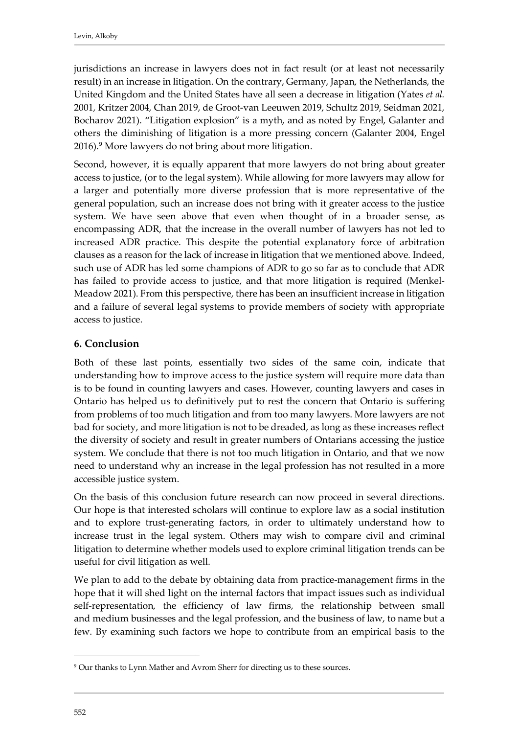jurisdictions an increase in lawyers does not in fact result (or at least not necessarily result) in an increase in litigation. On the contrary, Germany, Japan, the Netherlands, the United Kingdom and the United States have all seen a decrease in litigation (Yates *et al.* 2001, Kritzer 2004, Chan 2019, de Groot-van Leeuwen 2019, Schultz 2019, Seidman 2021, Bocharov 2021). "Litigation explosion" is a myth, and as noted by Engel, Galanter and others the diminishing of litigation is a more pressing concern (Galanter 2004, Engel 2016).[9](#page-17-1) More lawyers do not bring about more litigation.

Second, however, it is equally apparent that more lawyers do not bring about greater access to justice, (or to the legal system). While allowing for more lawyers may allow for a larger and potentially more diverse profession that is more representative of the general population, such an increase does not bring with it greater access to the justice system. We have seen above that even when thought of in a broader sense, as encompassing ADR, that the increase in the overall number of lawyers has not led to increased ADR practice. This despite the potential explanatory force of arbitration clauses as a reason for the lack of increase in litigation that we mentioned above. Indeed, such use of ADR has led some champions of ADR to go so far as to conclude that ADR has failed to provide access to justice, and that more litigation is required (Menkel-Meadow 2021). From this perspective, there has been an insufficient increase in litigation and a failure of several legal systems to provide members of society with appropriate access to justice.

# <span id="page-17-0"></span>**6. Conclusion**

Both of these last points, essentially two sides of the same coin, indicate that understanding how to improve access to the justice system will require more data than is to be found in counting lawyers and cases. However, counting lawyers and cases in Ontario has helped us to definitively put to rest the concern that Ontario is suffering from problems of too much litigation and from too many lawyers. More lawyers are not bad for society, and more litigation is not to be dreaded, as long as these increases reflect the diversity of society and result in greater numbers of Ontarians accessing the justice system. We conclude that there is not too much litigation in Ontario, and that we now need to understand why an increase in the legal profession has not resulted in a more accessible justice system.

On the basis of this conclusion future research can now proceed in several directions. Our hope is that interested scholars will continue to explore law as a social institution and to explore trust-generating factors, in order to ultimately understand how to increase trust in the legal system. Others may wish to compare civil and criminal litigation to determine whether models used to explore criminal litigation trends can be useful for civil litigation as well.

We plan to add to the debate by obtaining data from practice-management firms in the hope that it will shed light on the internal factors that impact issues such as individual self-representation, the efficiency of law firms, the relationship between small and medium businesses and the legal profession, and the business of law, to name but a few. By examining such factors we hope to contribute from an empirical basis to the

<span id="page-17-1"></span><sup>9</sup> Our thanks to Lynn Mather and Avrom Sherr for directing us to these sources.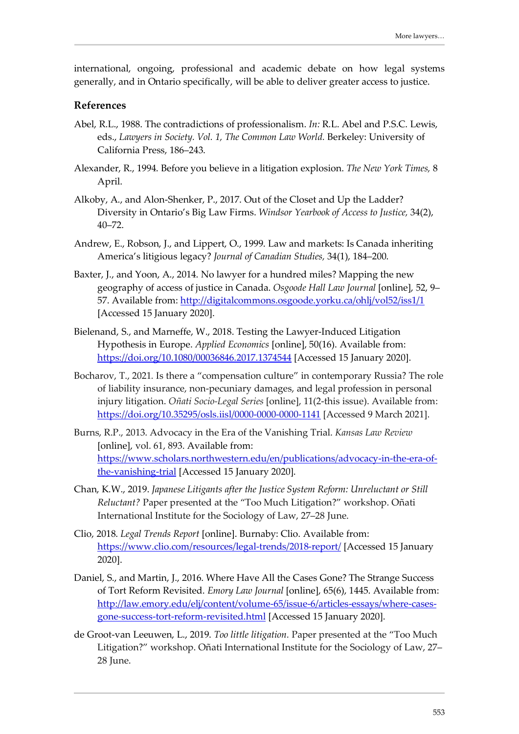international, ongoing, professional and academic debate on how legal systems generally, and in Ontario specifically, will be able to deliver greater access to justice.

#### <span id="page-18-0"></span>**References**

- Abel, R.L., 1988. The contradictions of professionalism. *In:* R.L. Abel and P.S.C. Lewis, eds., *Lawyers in Society. Vol. 1, The Common Law World.* Berkeley: University of California Press, 186–243.
- Alexander, R., 1994. Before you believe in a litigation explosion. *The New York Times,* 8 April.
- Alkoby, A., and Alon-Shenker, P., 2017. Out of the Closet and Up the Ladder? Diversity in Ontario's Big Law Firms. *Windsor Yearbook of Access to Justice,* 34(2), 40–72.
- Andrew, E., Robson, J., and Lippert, O., 1999. Law and markets: Is Canada inheriting America's litigious legacy? *Journal of Canadian Studies,* 34(1), 184–200.
- Baxter, J., and Yoon, A., 2014. No lawyer for a hundred miles? Mapping the new geography of access of justice in Canada. *Osgoode Hall Law Journal* [online], 52, 9– 57. Available from:<http://digitalcommons.osgoode.yorku.ca/ohlj/vol52/iss1/1> [Accessed 15 January 2020].
- Bielenand, S., and Marneffe, W., 2018. Testing the Lawyer-Induced Litigation Hypothesis in Europe. *Applied Economics* [online], 50(16). Available from: <https://doi.org/10.1080/00036846.2017.1374544> [Accessed 15 January 2020].
- Bocharov, T., 2021*.* Is there a "compensation culture" in contemporary Russia? The role of liability insurance, non-pecuniary damages, and legal profession in personal injury litigation. *Oñati Socio-Legal Series* [online], 11(2-this issue). Available from: <https://doi.org/10.35295/osls.iisl/0000-0000-0000-1141> [Accessed 9 March 2021].
- Burns, R.P., 2013. Advocacy in the Era of the Vanishing Trial. *Kansas Law Review* [online], vol. 61, 893. Available from: [https://www.scholars.northwestern.edu/en/publications/advocacy-in-the-era-of](https://www.scholars.northwestern.edu/en/publications/advocacy-in-the-era-of-the-vanishing-trial)[the-vanishing-trial](https://www.scholars.northwestern.edu/en/publications/advocacy-in-the-era-of-the-vanishing-trial) [Accessed 15 January 2020].
- Chan, K.W., 2019. *Japanese Litigants after the Justice System Reform: Unreluctant or Still Reluctant?* Paper presented at the "Too Much Litigation?" workshop. Oñati International Institute for the Sociology of Law, 27–28 June.
- Clio, 2018. *Legal Trends Report* [online]. Burnaby: Clio. Available from: <https://www.clio.com/resources/legal-trends/2018-report/> [Accessed 15 January 2020].
- Daniel, S., and Martin, J., 2016. Where Have All the Cases Gone? The Strange Success of Tort Reform Revisited. *Emory Law Journal* [online], 65(6), 1445. Available from: [http://law.emory.edu/elj/content/volume-65/issue-6/articles-essays/where-cases](http://law.emory.edu/elj/content/volume-65/issue-6/articles-essays/where-cases-gone-success-tort-reform-revisited.html)[gone-success-tort-reform-revisited.html](http://law.emory.edu/elj/content/volume-65/issue-6/articles-essays/where-cases-gone-success-tort-reform-revisited.html) [Accessed 15 January 2020].
- de Groot-van Leeuwen, L., 2019. *Too little litigation.* Paper presented at the "Too Much Litigation?" workshop. Oñati International Institute for the Sociology of Law, 27– 28 June.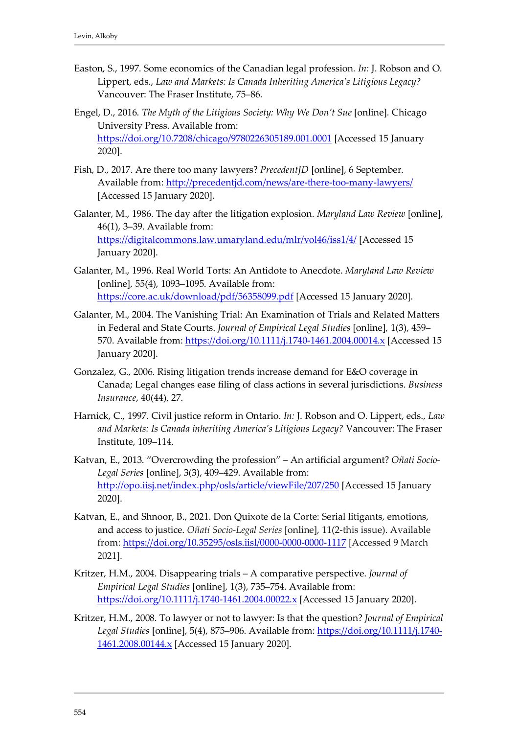- Easton, S., 1997. Some economics of the Canadian legal profession*. In:* J. Robson and O. Lippert, eds., *Law and Markets: Is Canada Inheriting America's Litigious Legacy?* Vancouver: The Fraser Institute, 75–86.
- Engel, D., 2016. *The Myth of the Litigious Society: Why We Don't Sue* [online]*.* Chicago University Press. Available from: <https://doi.org/10.7208/chicago/9780226305189.001.0001> [Accessed 15 January 2020].
- Fish, D., 2017. Are there too many lawyers? *PrecedentJD* [online], 6 September. Available from:<http://precedentjd.com/news/are-there-too-many-lawyers/> [Accessed 15 January 2020].
- Galanter, M., 1986. The day after the litigation explosion. *Maryland Law Review* [online], 46(1), 3–39. Available from: <https://digitalcommons.law.umaryland.edu/mlr/vol46/iss1/4/> [Accessed 15 January 2020].
- Galanter, M., 1996. Real World Torts: An Antidote to Anecdote. *Maryland Law Review* [online], 55(4), 1093–1095. Available from: <https://core.ac.uk/download/pdf/56358099.pdf> [Accessed 15 January 2020].
- Galanter, M., 2004. The Vanishing Trial: An Examination of Trials and Related Matters in Federal and State Courts. *Journal of Empirical Legal Studies* [online], 1(3), 459– 570. Available from:<https://doi.org/10.1111/j.1740-1461.2004.00014.x> [Accessed 15 January 2020].
- Gonzalez, G., 2006. Rising litigation trends increase demand for E&O coverage in Canada; Legal changes ease filing of class actions in several jurisdictions. *Business Insurance*, 40(44), 27.
- Harnick, C., 1997. Civil justice reform in Ontario. *In:* J. Robson and O. Lippert, eds., *Law and Markets: Is Canada inheriting America's Litigious Legacy?* Vancouver: The Fraser Institute, 109–114.
- Katvan, E., 2013. "Overcrowding the profession" An artificial argument? *Oñati Socio-Legal Series* [online], 3(3), 409–429. Available from: <http://opo.iisj.net/index.php/osls/article/viewFile/207/250> [Accessed 15 January 2020].
- Katvan, E., and Shnoor, B., 2021. Don Quixote de la Corte: Serial litigants, emotions, and access to justice. *Oñati Socio-Legal Series* [online], 11(2-this issue). Available from:<https://doi.org/10.35295/osls.iisl/0000-0000-0000-1117> [Accessed 9 March 2021].
- Kritzer, H.M., 2004. Disappearing trials A comparative perspective. *Journal of Empirical Legal Studies* [online], 1(3), 735–754. Available from: <https://doi.org/10.1111/j.1740-1461.2004.00022.x> [Accessed 15 January 2020].
- Kritzer, H.M., 2008. To lawyer or not to lawyer: Is that the question? *Journal of Empirical Legal Studies* [online], 5(4), 875–906. Available from: [https://doi.org/10.1111/j.1740-](https://doi.org/10.1111/j.1740-1461.2008.00144.x) [1461.2008.00144.x](https://doi.org/10.1111/j.1740-1461.2008.00144.x) [Accessed 15 January 2020].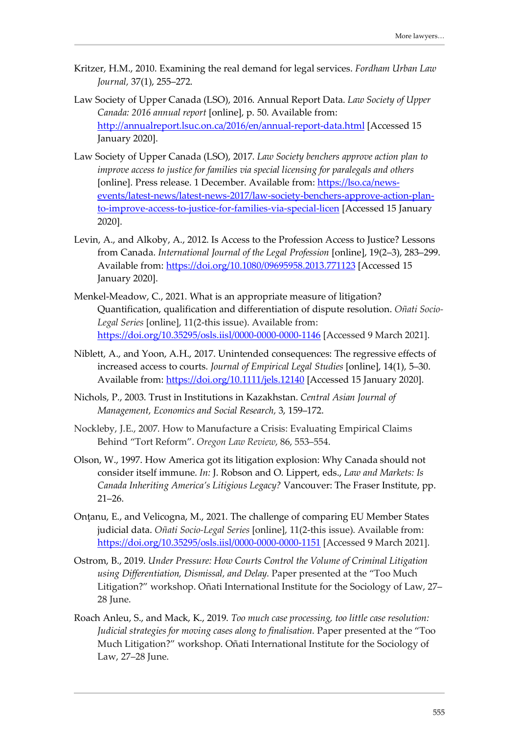- Kritzer, H.M., 2010. Examining the real demand for legal services. *Fordham Urban Law Journal,* 37(1), 255–272.
- Law Society of Upper Canada (LSO), 2016. Annual Report Data. *Law Society of Upper Canada: 2016 annual report* [online], p. 50. Available from: <http://annualreport.lsuc.on.ca/2016/en/annual-report-data.html> [Accessed 15 January 2020].
- Law Society of Upper Canada (LSO), 2017. *Law Society benchers approve action plan to improve access to justice for families via special licensing for paralegals and others* [online]. Press release. 1 December. Available from: [https://lso.ca/news](https://lso.ca/news-events/latest-news/latest-news-2017/law-society-benchers-approve-action-plan-to-improve-access-to-justice-for-families-via-special-licen)[events/latest-news/latest-news-2017/law-society-benchers-approve-action-plan](https://lso.ca/news-events/latest-news/latest-news-2017/law-society-benchers-approve-action-plan-to-improve-access-to-justice-for-families-via-special-licen)[to-improve-access-to-justice-for-families-via-special-licen](https://lso.ca/news-events/latest-news/latest-news-2017/law-society-benchers-approve-action-plan-to-improve-access-to-justice-for-families-via-special-licen) [Accessed 15 January 2020].
- Levin, A., and Alkoby, A., 2012. Is Access to the Profession Access to Justice? Lessons from Canada. *International Journal of the Legal Profession* [online], 19(2–3), 283–299. Available from:<https://doi.org/10.1080/09695958.2013.771123> [Accessed 15 January 2020].
- Menkel-Meadow, C., 2021. What is an appropriate measure of litigation? Quantification, qualification and differentiation of dispute resolution. *Oñati Socio-Legal Series* [online], 11(2-this issue). Available from: <https://doi.org/10.35295/osls.iisl/0000-0000-0000-1146> [Accessed 9 March 2021].
- Niblett, A., and Yoon, A.H., 2017. Unintended consequences: The regressive effects of increased access to courts. *Journal of Empirical Legal Studies* [online], 14(1), 5–30. Available from:<https://doi.org/10.1111/jels.12140> [Accessed 15 January 2020].
- Nichols, P., 2003. Trust in Institutions in Kazakhstan. *Central Asian Journal of Management, Economics and Social Research,* 3, 159–172.
- Nockleby, J.E., 2007. How to Manufacture a Crisis: Evaluating Empirical Claims Behind "Tort Reform". *Oregon Law Review*, 86, 553–554.
- Olson, W., 1997. How America got its litigation explosion: Why Canada should not consider itself immune. *In:* J. Robson and O. Lippert, eds., *Law and Markets: Is Canada Inheriting America's Litigious Legacy?* Vancouver: The Fraser Institute, pp. 21–26.
- Onţanu, E., and Velicogna, M., 2021. The challenge of comparing EU Member States judicial data. *Oñati Socio-Legal Series* [online], 11(2-this issue). Available from: <https://doi.org/10.35295/osls.iisl/0000-0000-0000-1151> [Accessed 9 March 2021].
- Ostrom, B., 2019. *Under Pressure: How Courts Control the Volume of Criminal Litigation using Differentiation, Dismissal, and Delay.* Paper presented at the "Too Much Litigation?" workshop. Oñati International Institute for the Sociology of Law, 27– 28 June.
- Roach Anleu, S., and Mack, K., 2019. *Too much case processing, too little case resolution: Judicial strategies for moving cases along to finalisation.* Paper presented at the "Too Much Litigation?" workshop. Oñati International Institute for the Sociology of Law, 27–28 June.